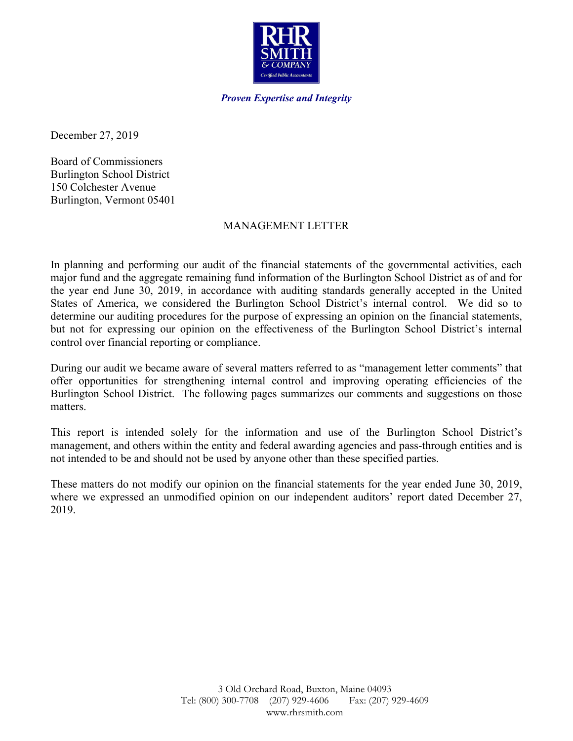

*Proven Expertise and Integrity*

December 27, 2019

Board of Commissioners Burlington School District 150 Colchester Avenue Burlington, Vermont 05401

### MANAGEMENT LETTER

In planning and performing our audit of the financial statements of the governmental activities, each major fund and the aggregate remaining fund information of the Burlington School District as of and for the year end June 30, 2019, in accordance with auditing standards generally accepted in the United States of America, we considered the Burlington School District's internal control. We did so to determine our auditing procedures for the purpose of expressing an opinion on the financial statements, but not for expressing our opinion on the effectiveness of the Burlington School District's internal control over financial reporting or compliance.

During our audit we became aware of several matters referred to as "management letter comments" that offer opportunities for strengthening internal control and improving operating efficiencies of the Burlington School District. The following pages summarizes our comments and suggestions on those matters.

This report is intended solely for the information and use of the Burlington School District's management, and others within the entity and federal awarding agencies and pass-through entities and is not intended to be and should not be used by anyone other than these specified parties.

These matters do not modify our opinion on the financial statements for the year ended June 30, 2019, where we expressed an unmodified opinion on our independent auditors' report dated December 27, 2019.